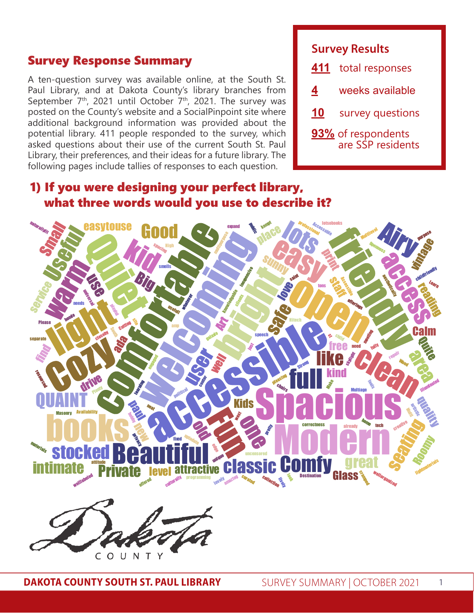#### Survey Response Summary

A ten-question survey was available online, at the South St. Paul Library, and at Dakota County's library branches from September  $7<sup>th</sup>$ , 2021 until October  $7<sup>th</sup>$ , 2021. The survey was posted on the County's website and a SocialPinpoint site where additional background information was provided about the potential library. 411 people responded to the survey, which asked questions about their use of the current South St. Paul Library, their preferences, and their ideas for a future library. The following pages include tallies of responses to each question.

## **Survey Results**

| 411 | total responses                                |
|-----|------------------------------------------------|
| 4   | weeks available                                |
| 10  | survey questions                               |
|     | <b>93%</b> of respondents<br>are SSP residents |

## 1) If you were designing your perfect library, what three words would you use to describe it?

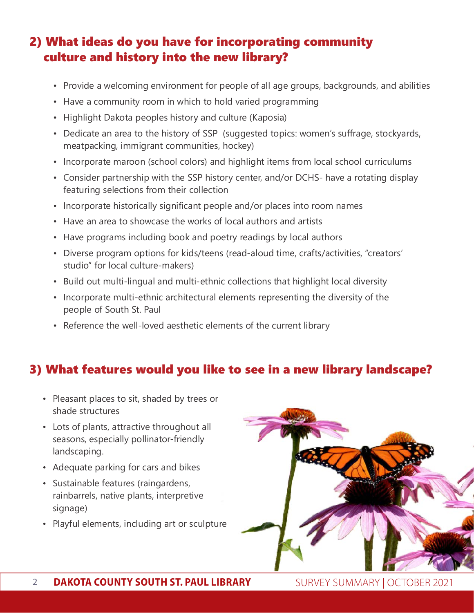# 2) What ideas do you have for incorporating community culture and history into the new library?

- Provide a welcoming environment for people of all age groups, backgrounds, and abilities
- Have a community room in which to hold varied programming
- Highlight Dakota peoples history and culture (Kaposia)
- Dedicate an area to the history of SSP (suggested topics: women's suffrage, stockyards, meatpacking, immigrant communities, hockey)
- Incorporate maroon (school colors) and highlight items from local school curriculums
- Consider partnership with the SSP history center, and/or DCHS- have a rotating display featuring selections from their collection
- Incorporate historically significant people and/or places into room names
- Have an area to showcase the works of local authors and artists
- Have programs including book and poetry readings by local authors
- Diverse program options for kids/teens (read-aloud time, crafts/activities, "creators' studio" for local culture-makers)
- Build out multi-lingual and multi-ethnic collections that highlight local diversity
- Incorporate multi-ethnic architectural elements representing the diversity of the people of South St. Paul
- Reference the well-loved aesthetic elements of the current library

### 3) What features would you like to see in a new library landscape?

- Pleasant places to sit, shaded by trees or shade structures
- Lots of plants, attractive throughout all seasons, especially pollinator-friendly landscaping.
- Adequate parking for cars and bikes
- Sustainable features (raingardens, rainbarrels, native plants, interpretive signage)
- Playful elements, including art or sculpture

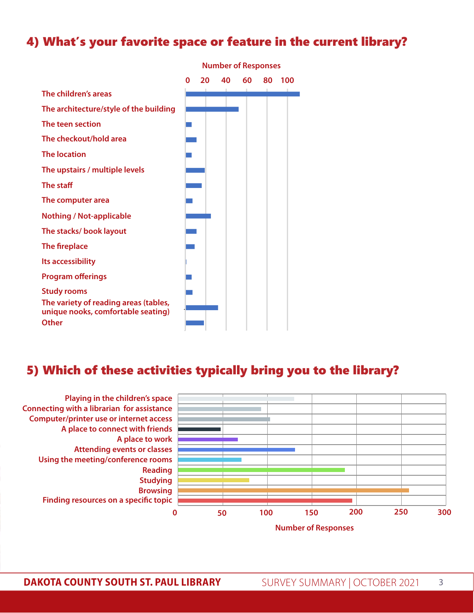## 4) What's your favorite space or feature in the current library?



### 5) Which of these activities typically bring you to the library?